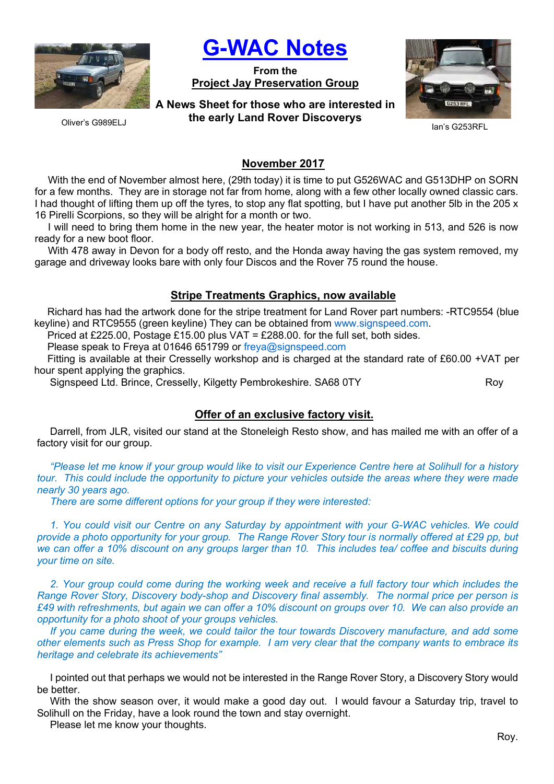

Oliver's G989ELJ

G-WAC Notes

From the Project Jay Preservation Group

A News Sheet for those who are interested in the early Land Rover Discoverys



Ian's G253RFL

November 2017

With the end of November almost here, (29th today) it is time to put G526WAC and G513DHP on SORN for a few months. They are in storage not far from home, along with a few other locally owned classic cars. I had thought of lifting them up off the tyres, to stop any flat spotting, but I have put another 5lb in the 205 x 16 Pirelli Scorpions, so they will be alright for a month or two.

I will need to bring them home in the new year, the heater motor is not working in 513, and 526 is now ready for a new boot floor.

With 478 away in Devon for a body off resto, and the Honda away having the gas system removed, my garage and driveway looks bare with only four Discos and the Rover 75 round the house.

# Stripe Treatments Graphics, now available

Richard has had the artwork done for the stripe treatment for Land Rover part numbers: -RTC9554 (blue keyline) and RTC9555 (green keyline) They can be obtained from www.signspeed.com.

Priced at £225.00, Postage £15.00 plus VAT = £288.00. for the full set, both sides.

Please speak to Freya at 01646 651799 or freya@signspeed.com

Fitting is available at their Cresselly workshop and is charged at the standard rate of £60.00 +VAT per hour spent applying the graphics.

Signspeed Ltd. Brince, Cresselly, Kilgetty Pembrokeshire. SA68 0TY Roy

# Offer of an exclusive factory visit.

Darrell, from JLR, visited our stand at the Stoneleigh Resto show, and has mailed me with an offer of a factory visit for our group.

"Please let me know if your group would like to visit our Experience Centre here at Solihull for a history tour. This could include the opportunity to picture your vehicles outside the areas where they were made nearly 30 years ago.

There are some different options for your group if they were interested:

1. You could visit our Centre on any Saturday by appointment with your G-WAC vehicles. We could provide a photo opportunity for your group. The Range Rover Story tour is normally offered at £29 pp, but we can offer a 10% discount on any groups larger than 10. This includes tea/ coffee and biscuits during your time on site.

2. Your group could come during the working week and receive a full factory tour which includes the Range Rover Story, Discovery body-shop and Discovery final assembly. The normal price per person is £49 with refreshments, but again we can offer a 10% discount on groups over 10. We can also provide an opportunity for a photo shoot of your groups vehicles.

If you came during the week, we could tailor the tour towards Discovery manufacture, and add some other elements such as Press Shop for example. I am very clear that the company wants to embrace its heritage and celebrate its achievements"

I pointed out that perhaps we would not be interested in the Range Rover Story, a Discovery Story would be better.

With the show season over, it would make a good day out. I would favour a Saturday trip, travel to Solihull on the Friday, have a look round the town and stay overnight.

Please let me know your thoughts.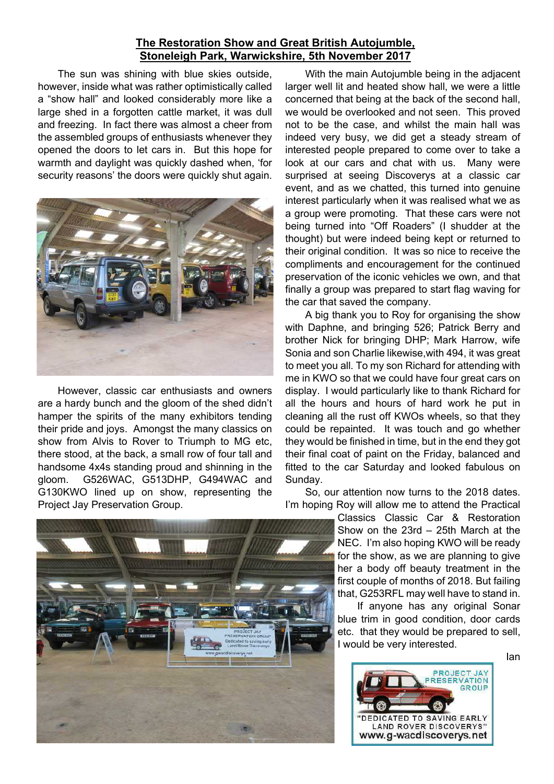## The Restoration Show and Great British Autojumble, Stoneleigh Park, Warwickshire, 5th November 2017

The sun was shining with blue skies outside, however, inside what was rather optimistically called a "show hall" and looked considerably more like a large shed in a forgotten cattle market, it was dull and freezing. In fact there was almost a cheer from the assembled groups of enthusiasts whenever they opened the doors to let cars in. But this hope for warmth and daylight was quickly dashed when, 'for security reasons' the doors were quickly shut again.



However, classic car enthusiasts and owners are a hardy bunch and the gloom of the shed didn't hamper the spirits of the many exhibitors tending their pride and joys. Amongst the many classics on show from Alvis to Rover to Triumph to MG etc, there stood, at the back, a small row of four tall and handsome 4x4s standing proud and shinning in the gloom. G526WAC, G513DHP, G494WAC and G130KWO lined up on show, representing the Project Jay Preservation Group.

With the main Autojumble being in the adjacent larger well lit and heated show hall, we were a little concerned that being at the back of the second hall, we would be overlooked and not seen. This proved not to be the case, and whilst the main hall was indeed very busy, we did get a steady stream of interested people prepared to come over to take a look at our cars and chat with us. Many were surprised at seeing Discoverys at a classic car event, and as we chatted, this turned into genuine interest particularly when it was realised what we as a group were promoting. That these cars were not being turned into "Off Roaders" (I shudder at the thought) but were indeed being kept or returned to their original condition. It was so nice to receive the compliments and encouragement for the continued preservation of the iconic vehicles we own, and that finally a group was prepared to start flag waving for the car that saved the company.

A big thank you to Roy for organising the show with Daphne, and bringing 526; Patrick Berry and brother Nick for bringing DHP; Mark Harrow, wife Sonia and son Charlie likewise,with 494, it was great to meet you all. To my son Richard for attending with me in KWO so that we could have four great cars on display. I would particularly like to thank Richard for all the hours and hours of hard work he put in cleaning all the rust off KWOs wheels, so that they could be repainted. It was touch and go whether they would be finished in time, but in the end they got their final coat of paint on the Friday, balanced and fitted to the car Saturday and looked fabulous on Sunday.

So, our attention now turns to the 2018 dates. I'm hoping Roy will allow me to attend the Practical

Classics Classic Car & Restoration Show on the 23rd – 25th March at the NEC. I'm also hoping KWO will be ready for the show, as we are planning to give her a body off beauty treatment in the first couple of months of 2018. But failing that, G253RFL may well have to stand in.

If anyone has any original Sonar blue trim in good condition, door cards etc. that they would be prepared to sell, I would be very interested.



Ian

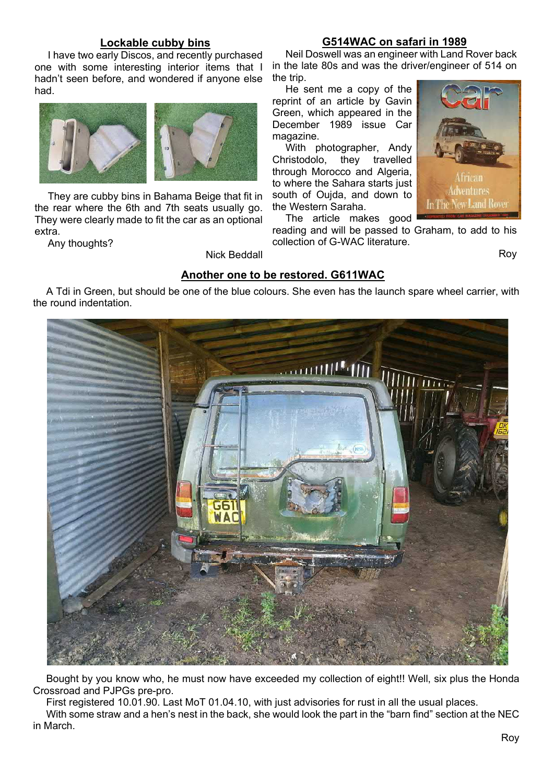## Lockable cubby bins

I have two early Discos, and recently purchased one with some interesting interior items that I hadn't seen before, and wondered if anyone else had.



They are cubby bins in Bahama Beige that fit in the rear where the 6th and 7th seats usually go. They were clearly made to fit the car as an optional extra.

Any thoughts?

Nick Beddall

### G514WAC on safari in 1989

Neil Doswell was an engineer with Land Rover back in the late 80s and was the driver/engineer of 514 on the trip.

He sent me a copy of the reprint of an article by Gavin Green, which appeared in the December 1989 issue Car magazine.

With photographer, Andy Christodolo, they travelled through Morocco and Algeria, to where the Sahara starts just south of Oujda, and down to the Western Saraha.

The article makes good



reading and will be passed to Graham, to add to his collection of G-WAC literature.

Roy

## Another one to be restored. G611WAC

A Tdi in Green, but should be one of the blue colours. She even has the launch spare wheel carrier, with the round indentation.



Bought by you know who, he must now have exceeded my collection of eight!! Well, six plus the Honda Crossroad and PJPGs pre-pro.

First registered 10.01.90. Last MoT 01.04.10, with just advisories for rust in all the usual places.

With some straw and a hen's nest in the back, she would look the part in the "barn find" section at the NEC in March.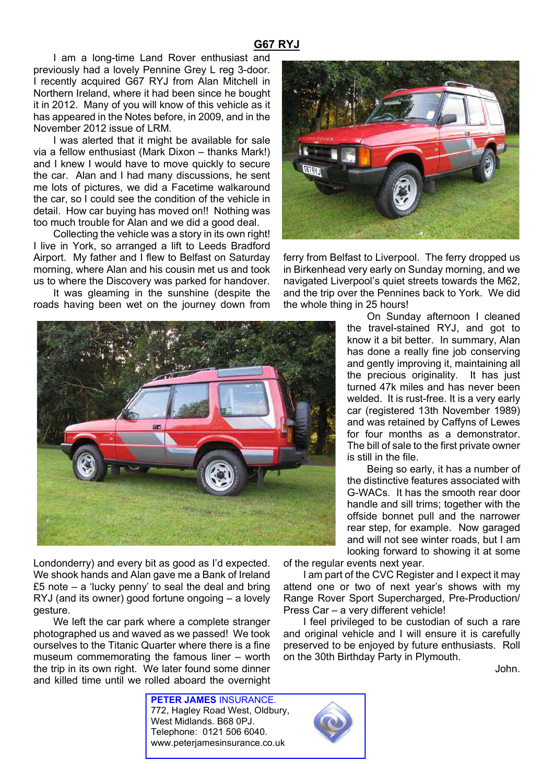## G67 RYJ

I am a long-time Land Rover enthusiast and previously had a lovely Pennine Grey L reg 3-door. I recently acquired G67 RYJ from Alan Mitchell in Northern Ireland, where it had been since he bought it in 2012. Many of you will know of this vehicle as it has appeared in the Notes before, in 2009, and in the November 2012 issue of LRM.

I was alerted that it might be available for sale via a fellow enthusiast (Mark Dixon – thanks Mark!) and I knew I would have to move quickly to secure the car. Alan and I had many discussions, he sent me lots of pictures, we did a Facetime walkaround the car, so I could see the condition of the vehicle in detail. How car buying has moved on!! Nothing was too much trouble for Alan and we did a good deal.

Collecting the vehicle was a story in its own right! I live in York, so arranged a lift to Leeds Bradford Airport. My father and I flew to Belfast on Saturday morning, where Alan and his cousin met us and took us to where the Discovery was parked for handover.

It was gleaming in the sunshine (despite the roads having been wet on the journey down from



Londonderry) and every bit as good as I'd expected. We shook hands and Alan gave me a Bank of Ireland £5 note – a 'lucky penny' to seal the deal and bring RYJ (and its owner) good fortune ongoing – a lovely gesture.

We left the car park where a complete stranger photographed us and waved as we passed! We took ourselves to the Titanic Quarter where there is a fine museum commemorating the famous liner – worth the trip in its own right. We later found some dinner and killed time until we rolled aboard the overnight

> PETER JAMES INSURANCE. 772, Hagley Road West, Oldbury, West Midlands. B68 0PJ. Telephone: 0121 506 6040.

www.peterjamesinsurance.co.uk



ferry from Belfast to Liverpool. The ferry dropped us in Birkenhead very early on Sunday morning, and we navigated Liverpool's quiet streets towards the M62, and the trip over the Pennines back to York. We did the whole thing in 25 hours!

> On Sunday afternoon I cleaned the travel-stained RYJ, and got to know it a bit better. In summary, Alan has done a really fine job conserving and gently improving it, maintaining all the precious originality. It has just turned 47k miles and has never been welded. It is rust-free. It is a very early car (registered 13th November 1989) and was retained by Caffyns of Lewes for four months as a demonstrator. The bill of sale to the first private owner is still in the file.

> Being so early, it has a number of the distinctive features associated with G-WACs. It has the smooth rear door handle and sill trims; together with the offside bonnet pull and the narrower rear step, for example. Now garaged and will not see winter roads, but I am looking forward to showing it at some

of the regular events next year.

I am part of the CVC Register and I expect it may attend one or two of next year's shows with my Range Rover Sport Supercharged, Pre-Production/ Press Car – a very different vehicle!

I feel privileged to be custodian of such a rare and original vehicle and I will ensure it is carefully preserved to be enjoyed by future enthusiasts. Roll on the 30th Birthday Party in Plymouth.

John.